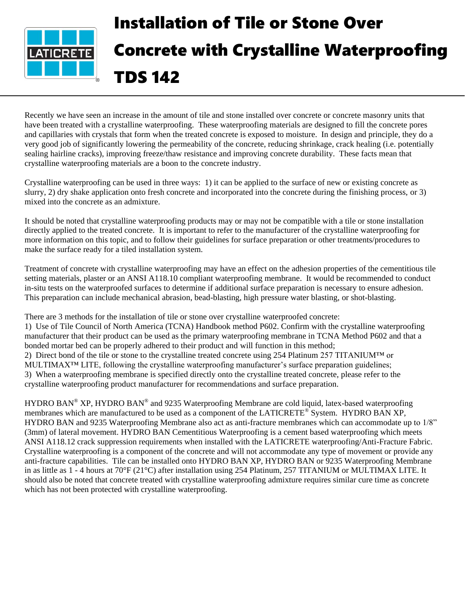

## Installation of Tile or Stone Over Concrete with Crystalline Waterproofing TDS 142

Recently we have seen an increase in the amount of tile and stone installed over concrete or concrete masonry units that have been treated with a crystalline waterproofing. These waterproofing materials are designed to fill the concrete pores and capillaries with crystals that form when the treated concrete is exposed to moisture. In design and principle, they do a very good job of significantly lowering the permeability of the concrete, reducing shrinkage, crack healing (i.e. potentially sealing hairline cracks), improving freeze/thaw resistance and improving concrete durability. These facts mean that crystalline waterproofing materials are a boon to the concrete industry.

Crystalline waterproofing can be used in three ways: 1) it can be applied to the surface of new or existing concrete as slurry, 2) dry shake application onto fresh concrete and incorporated into the concrete during the finishing process, or 3) mixed into the concrete as an admixture.

It should be noted that crystalline waterproofing products may or may not be compatible with a tile or stone installation directly applied to the treated concrete. It is important to refer to the manufacturer of the crystalline waterproofing for more information on this topic, and to follow their guidelines for surface preparation or other treatments/procedures to make the surface ready for a tiled installation system.

Treatment of concrete with crystalline waterproofing may have an effect on the adhesion properties of the cementitious tile setting materials, plaster or an ANSI A118.10 compliant waterproofing membrane. It would be recommended to conduct in-situ tests on the waterproofed surfaces to determine if additional surface preparation is necessary to ensure adhesion. This preparation can include mechanical abrasion, bead-blasting, high pressure water blasting, or shot-blasting.

There are 3 methods for the installation of tile or stone over crystalline waterproofed concrete: 1) Use of Tile Council of North America (TCNA) Handbook method P602. Confirm with the crystalline waterproofing manufacturer that their product can be used as the primary waterproofing membrane in TCNA Method P602 and that a bonded mortar bed can be properly adhered to their product and will function in this method; 2) Direct bond of the tile or stone to the crystalline treated concrete using 254 Platinum 257 TITANIUM™ or MULTIMAX™ LITE, following the crystalline waterproofing manufacturer's surface preparation guidelines; 3) When a waterproofing membrane is specified directly onto the crystalline treated concrete, please refer to the crystalline waterproofing product manufacturer for recommendations and surface preparation.

HYDRO BAN<sup>®</sup> XP, HYDRO BAN<sup>®</sup> and 9235 Waterproofing Membrane are cold liquid, latex-based waterproofing membranes which are manufactured to be used as a component of the LATICRETE® System. HYDRO BAN XP, HYDRO BAN and 9235 Waterproofing Membrane also act as anti-fracture membranes which can accommodate up to 1/8" (3mm) of lateral movement. HYDRO BAN Cementitious Waterproofing is a cement based waterproofing which meets ANSI A118.12 crack suppression requirements when installed with the LATICRETE waterproofing/Anti-Fracture Fabric. Crystalline waterproofing is a component of the concrete and will not accommodate any type of movement or provide any anti-fracture capabilities. Tile can be installed onto HYDRO BAN XP, HYDRO BAN or 9235 Waterproofing Membrane in as little as 1 - 4 hours at 70°F (21°C) after installation using 254 Platinum, 257 TITANIUM or MULTIMAX LITE. It should also be noted that concrete treated with crystalline waterproofing admixture requires similar cure time as concrete which has not been protected with crystalline waterproofing.